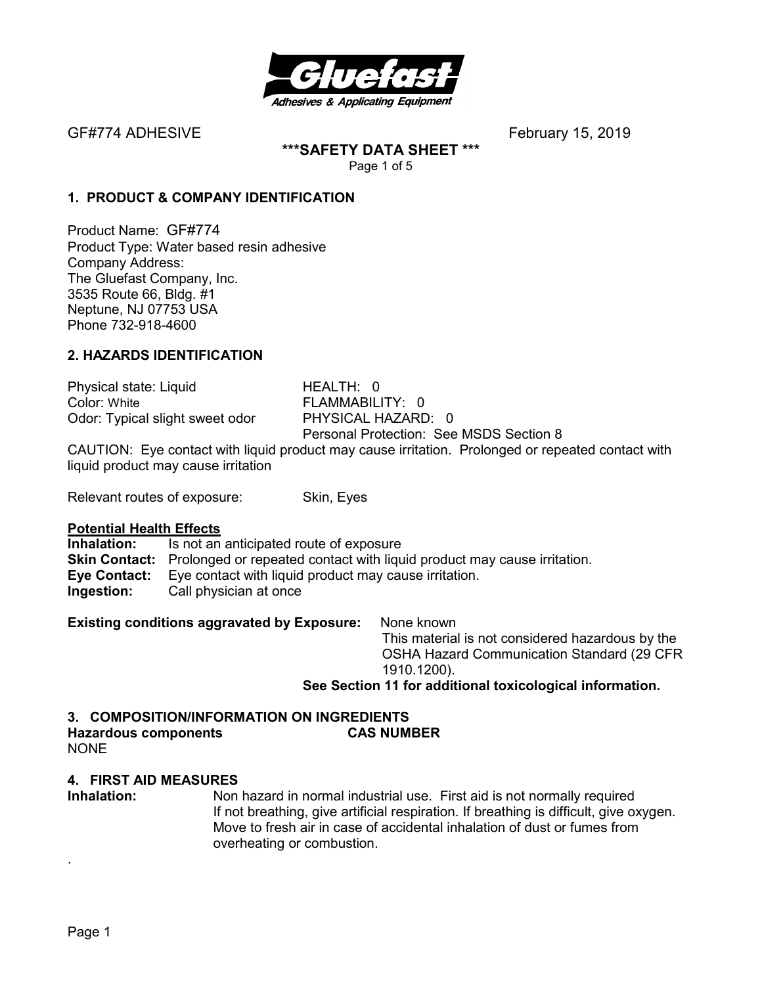

**\*\*\*SAFETY DATA SHEET \*\*\***  Page 1 of 5

# **1. PRODUCT & COMPANY IDENTIFICATION**

Product Name: GF#774 Product Type: Water based resin adhesive Company Address: The Gluefast Company, Inc. 3535 Route 66, Bldg. #1 Neptune, NJ 07753 USA Phone 732-918-4600

# **2. HAZARDS IDENTIFICATION**

Physical state: Liquid HEALTH: 0 Color: White **FLAMMABILITY: 0** Odor: Typical slight sweet odor PHYSICAL HAZARD: 0

Personal Protection: See MSDS Section 8

CAUTION: Eye contact with liquid product may cause irritation. Prolonged or repeated contact with liquid product may cause irritation

Relevant routes of exposure: Skin, Eyes

#### **Potential Health Effects**

**Inhalation:** Is not an anticipated route of exposure **Skin Contact:** Prolonged or repeated contact with liquid product may cause irritation. **Eye Contact:** Eye contact with liquid product may cause irritation. **Ingestion:** Call physician at once

**Existing conditions aggravated by Exposure:** None known

This material is not considered hazardous by the OSHA Hazard Communication Standard (29 CFR 1910.1200).

**See Section 11 for additional toxicological information.** 

# **3. COMPOSITION/INFORMATION ON INGREDIENTS Hazardous components CAS NUMBER**

NONE

## **4. FIRST AID MEASURES**

**Inhalation:** Non hazard in normal industrial use. First aid is not normally required If not breathing, give artificial respiration. If breathing is difficult, give oxygen. Move to fresh air in case of accidental inhalation of dust or fumes from overheating or combustion.

.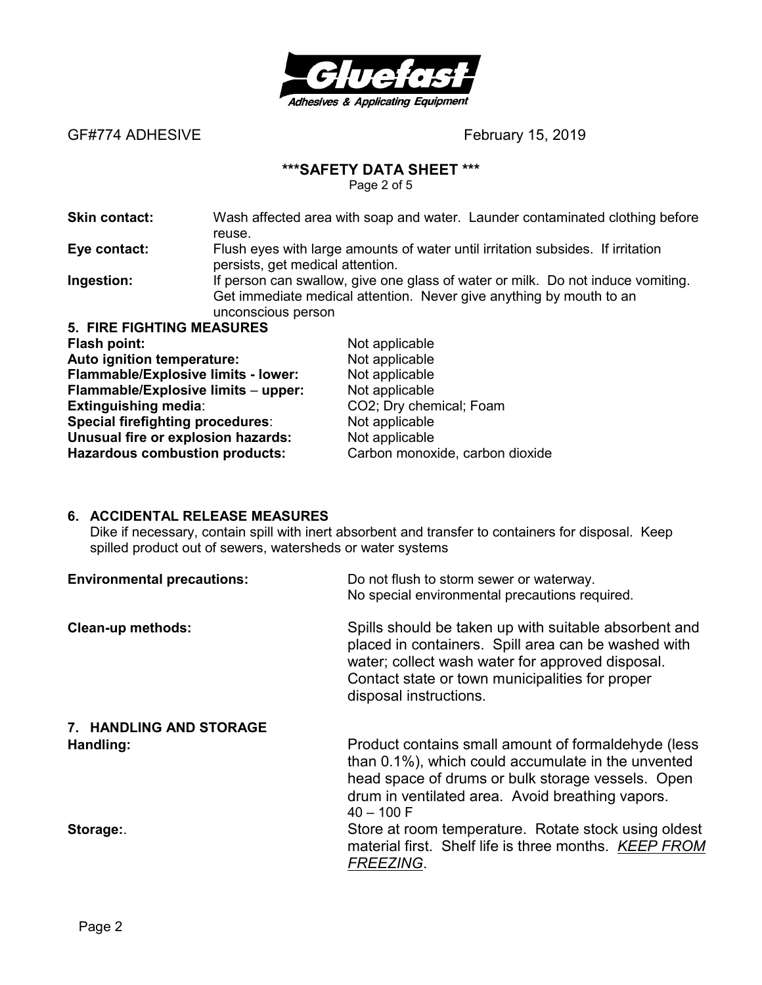

## **\*\*\*SAFETY DATA SHEET \*\*\***

Page 2 of 5

**Skin contact:** Wash affected area with soap and water. Launder contaminated clothing before reuse.

**Eye contact:** Flush eyes with large amounts of water until irritation subsides. If irritation persists, get medical attention.

**Ingestion:** If person can swallow, give one glass of water or milk. Do not induce vomiting. Get immediate medical attention. Never give anything by mouth to an unconscious person

**5. FIRE FIGHTING MEASURES Flash point:** Not applicable **Auto ignition temperature:** Not applicable **Flammable/Explosive limits - lower:** Not applicable **Flammable/Explosive limits** – **upper:** Not applicable **Extinguishing media:** CO2; Dry chemical; Foam **Special firefighting procedures:** Not applicable **Unusual fire or explosion hazards:** Not applicable **Hazardous combustion products:** Carbon monoxide, carbon dioxide

## **6. ACCIDENTAL RELEASE MEASURES**

Dike if necessary, contain spill with inert absorbent and transfer to containers for disposal. Keep spilled product out of sewers, watersheds or water systems

| <b>Environmental precautions:</b> | Do not flush to storm sewer or waterway.<br>No special environmental precautions required.                                                                                                                                                    |
|-----------------------------------|-----------------------------------------------------------------------------------------------------------------------------------------------------------------------------------------------------------------------------------------------|
| <b>Clean-up methods:</b>          | Spills should be taken up with suitable absorbent and<br>placed in containers. Spill area can be washed with<br>water; collect wash water for approved disposal.<br>Contact state or town municipalities for proper<br>disposal instructions. |
| 7. HANDLING AND STORAGE           |                                                                                                                                                                                                                                               |
| Handling:                         | Product contains small amount of formaldehyde (less<br>than 0.1%), which could accumulate in the unvented<br>head space of drums or bulk storage vessels. Open<br>drum in ventilated area. Avoid breathing vapors.<br>$40 - 100$ F            |
| Storage:                          | Store at room temperature. Rotate stock using oldest<br>material first. Shelf life is three months. KEEP FROM<br><b>FREEZING.</b>                                                                                                             |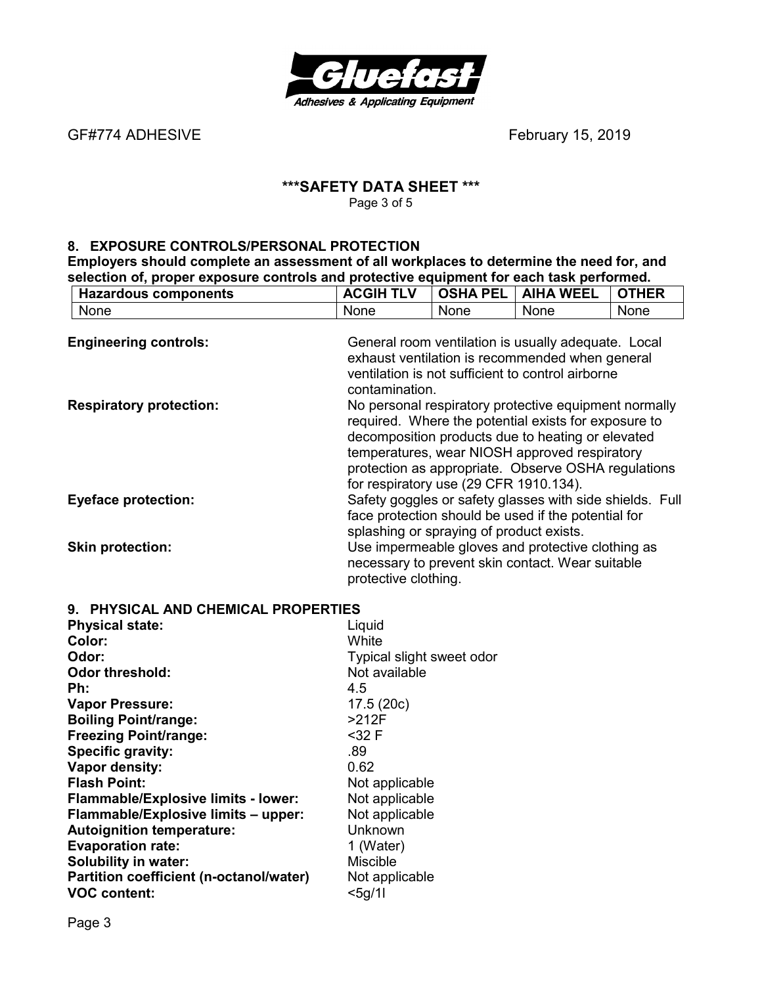

GF#774 ADHESIVE *CHEREFERGEER CONTENTS ADHESIVE February* **15, 2019** 

# **\*\*\*SAFETY DATA SHEET \*\*\***  Page 3 of 5

# **8. EXPOSURE CONTROLS/PERSONAL PROTECTION**

**Solubility in water:** Miscible Miscible<br> **Partition coefficient (n-octanol/water)** Not applicable

**Partition coefficient (n-octanol/water)** Not applicable voc content:

**Employers should complete an assessment of all workplaces to determine the need for, and selection of, proper exposure controls and protective equipment for each task performed.** 

| <b>Hazardous components</b>         | <b>ACGIH TLV</b>                         | <b>OSHA PEL</b> | <b>AIHA WEEL</b>                                                                                                                                                                                                                                                           | <b>OTHER</b> |
|-------------------------------------|------------------------------------------|-----------------|----------------------------------------------------------------------------------------------------------------------------------------------------------------------------------------------------------------------------------------------------------------------------|--------------|
| None                                | None                                     | None            | None                                                                                                                                                                                                                                                                       | None         |
| <b>Engineering controls:</b>        | contamination.                           |                 | General room ventilation is usually adequate. Local<br>exhaust ventilation is recommended when general<br>ventilation is not sufficient to control airborne                                                                                                                |              |
| <b>Respiratory protection:</b>      | for respiratory use (29 CFR 1910.134).   |                 | No personal respiratory protective equipment normally<br>required. Where the potential exists for exposure to<br>decomposition products due to heating or elevated<br>temperatures, wear NIOSH approved respiratory<br>protection as appropriate. Observe OSHA regulations |              |
| <b>Eyeface protection:</b>          | splashing or spraying of product exists. |                 | Safety goggles or safety glasses with side shields. Full<br>face protection should be used if the potential for                                                                                                                                                            |              |
| <b>Skin protection:</b>             | protective clothing.                     |                 | Use impermeable gloves and protective clothing as<br>necessary to prevent skin contact. Wear suitable                                                                                                                                                                      |              |
| 9. PHYSICAL AND CHEMICAL PROPERTIES |                                          |                 |                                                                                                                                                                                                                                                                            |              |
| <b>Physical state:</b>              | Liquid                                   |                 |                                                                                                                                                                                                                                                                            |              |
| Color:                              | White                                    |                 |                                                                                                                                                                                                                                                                            |              |
| Odor:                               | Typical slight sweet odor                |                 |                                                                                                                                                                                                                                                                            |              |
| <b>Odor threshold:</b>              | Not available                            |                 |                                                                                                                                                                                                                                                                            |              |
| Ph:                                 | 4.5                                      |                 |                                                                                                                                                                                                                                                                            |              |
| <b>Vapor Pressure:</b>              | 17.5(20c)                                |                 |                                                                                                                                                                                                                                                                            |              |
| <b>Boiling Point/range:</b>         | $>212F$                                  |                 |                                                                                                                                                                                                                                                                            |              |
| <b>Freezing Point/range:</b>        | $32 F$                                   |                 |                                                                                                                                                                                                                                                                            |              |
| <b>Specific gravity:</b>            | .89                                      |                 |                                                                                                                                                                                                                                                                            |              |
| Vapor density:                      | 0.62                                     |                 |                                                                                                                                                                                                                                                                            |              |
| <b>Flash Point:</b>                 | Not applicable                           |                 |                                                                                                                                                                                                                                                                            |              |
| Flammable/Explosive limits - lower: | Not applicable                           |                 |                                                                                                                                                                                                                                                                            |              |
| Flammable/Explosive limits - upper: | Not applicable                           |                 |                                                                                                                                                                                                                                                                            |              |
| <b>Autoignition temperature:</b>    | Unknown                                  |                 |                                                                                                                                                                                                                                                                            |              |
| <b>Evaporation rate:</b>            | 1 (Water)                                |                 |                                                                                                                                                                                                                                                                            |              |
| <b>Solubility in water:</b>         | <b>Miscible</b>                          |                 |                                                                                                                                                                                                                                                                            |              |

**VOC content:**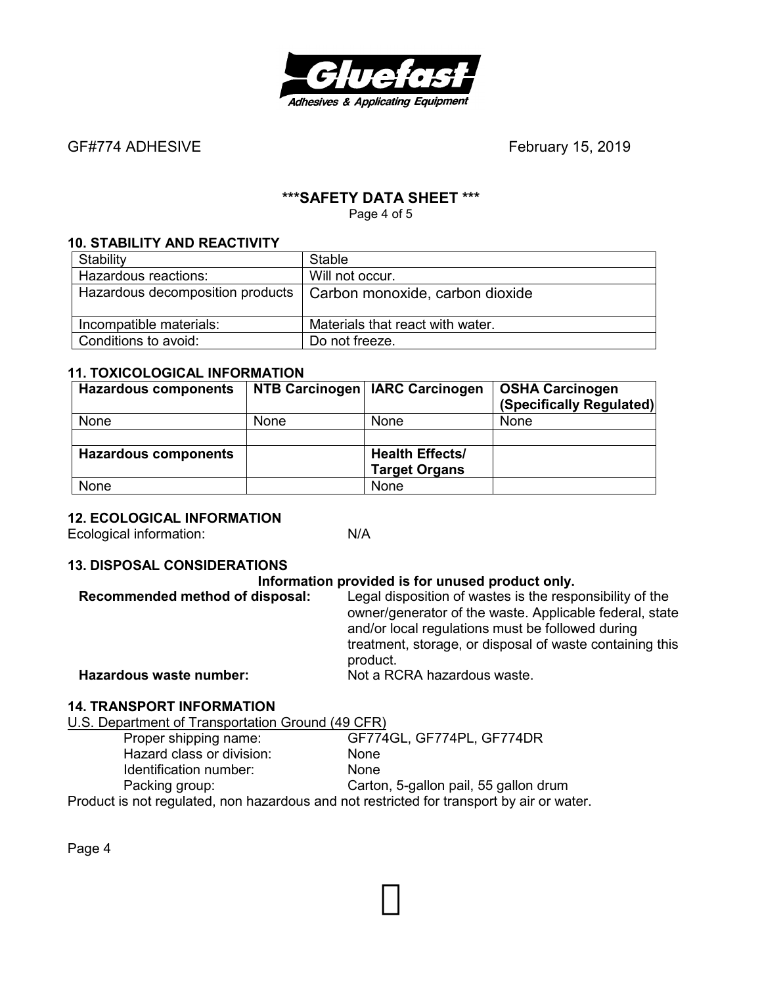

# **\*\*\*SAFETY DATA SHEET \*\*\***

Page 4 of 5

# **10. STABILITY AND REACTIVITY**

| Stability               | <b>Stable</b>                                                      |
|-------------------------|--------------------------------------------------------------------|
| Hazardous reactions:    | Will not occur.                                                    |
|                         | Hazardous decomposition products   Carbon monoxide, carbon dioxide |
| Incompatible materials: | Materials that react with water.                                   |
| Conditions to avoid:    | Do not freeze.                                                     |

### **11. TOXICOLOGICAL INFORMATION**

| <b>Hazardous components</b> |             | NTB Carcinogen   IARC Carcinogen | <b>OSHA Carcinogen</b>   |
|-----------------------------|-------------|----------------------------------|--------------------------|
|                             |             |                                  | (Specifically Regulated) |
| <b>None</b>                 | <b>None</b> | <b>None</b>                      | <b>None</b>              |
|                             |             |                                  |                          |
| <b>Hazardous components</b> |             | <b>Health Effects/</b>           |                          |
|                             |             | <b>Target Organs</b>             |                          |
| None                        |             | None                             |                          |

## **12. ECOLOGICAL INFORMATION**

Ecological information: N/A

# **13. DISPOSAL CONSIDERATIONS**

#### **Information provided is for unused product only.**

| Recommended method of disposal: | Legal disposition of wastes is the responsibility of the<br>owner/generator of the waste. Applicable federal, state<br>and/or local regulations must be followed during<br>treatment, storage, or disposal of waste containing this<br>product. |
|---------------------------------|-------------------------------------------------------------------------------------------------------------------------------------------------------------------------------------------------------------------------------------------------|
| Hazardous waste number:         | Not a RCRA hazardous waste.                                                                                                                                                                                                                     |

# **14. TRANSPORT INFORMATION**

U.S. Department of Transportation Ground (49 CFR)

| Proper shipping name:                                                                     | GF774GL, GF774PL, GF774DR             |
|-------------------------------------------------------------------------------------------|---------------------------------------|
| Hazard class or division:                                                                 | <b>None</b>                           |
| Identification number:                                                                    | <b>None</b>                           |
| Packing group:                                                                            | Carton, 5-gallon pail, 55 gallon drum |
| Product is not regulated, non hazardous and not restricted for transport by air or water. |                                       |

Page 4